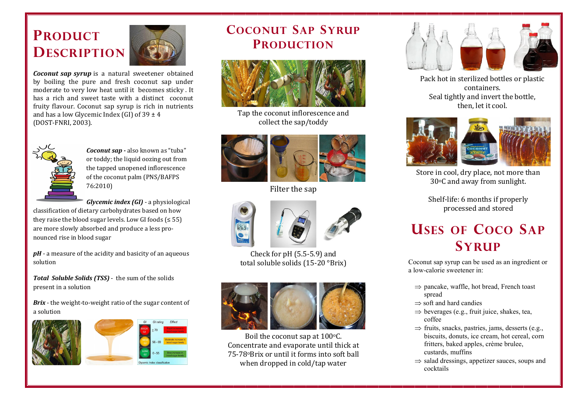## **PRODUCT DESCRIPTION**



*Coconut sap syrup* is a natural sweetener obtained by boiling the pure and fresh coconut sap under moderate to very low heat until it becomes sticky . It has a rich and sweet taste with a distinct coconut fruity flavour. Coconut sap syrup is rich in nutrients and has a low Glycemic Index (GI) of  $39 \pm 4$ (DOST-FNRI, 2003).



*Coconut sap -* also known as "tuba" or toddy; the liquid oozing out from the tapped unopened inflorescence of the coconut palm (PNS/BAFPS 76:2010)

*Glycemic index (GI)* - a physiological

classification of dietary carbohydrates based on how they raise the blood sugar levels. Low GI foods  $( \leq 55)$ are more slowly absorbed and produce a less pronounced rise in blood sugar

*pH* - a measure of the acidity and basicity of an aqueous solution

*Total Soluble Solids (TSS)* - the sum of the solids present in a solution

*Brix* - the weight-to-weight ratio of the sugar content of a solution





### COCONUT SAP SYRUP **PRODUCTION**



Tap the coconut inflorescence and collect the sap/toddy



Filter the sap



Check for pH (5.5-5.9) and total soluble solids (15-20 °Brix)



Boil the coconut sap at 100°C. Concentrate and evaporate until thick at 75-78oBrix or until it forms into soft ball when dropped in cold/tap water



Pack hot in sterilized bottles or plastic containers. Seal tightly and invert the bottle, then, let it cool.



Store in cool, dry place, not more than 30oC and away from sunlight.

Shelf-life: 6 months if properly processed and stored

### USES OF COCO SAP **SYRUP**

Coconut sap syrup can be used as an ingredient or a low-calorie sweetener in:

- $\Rightarrow$  pancake, waffle, hot bread, French toast spread
- $\Rightarrow$  soft and hard candies
- $\Rightarrow$  beverages (e.g., fruit juice, shakes, tea, coffee
- $\Rightarrow$  fruits, snacks, pastries, jams, desserts (e.g., biscuits, donuts, ice cream, hot cereal, corn fritters, baked apples, crème brulee, custards, muffins
- $\Rightarrow$  salad dressings, appetizer sauces, soups and cocktails